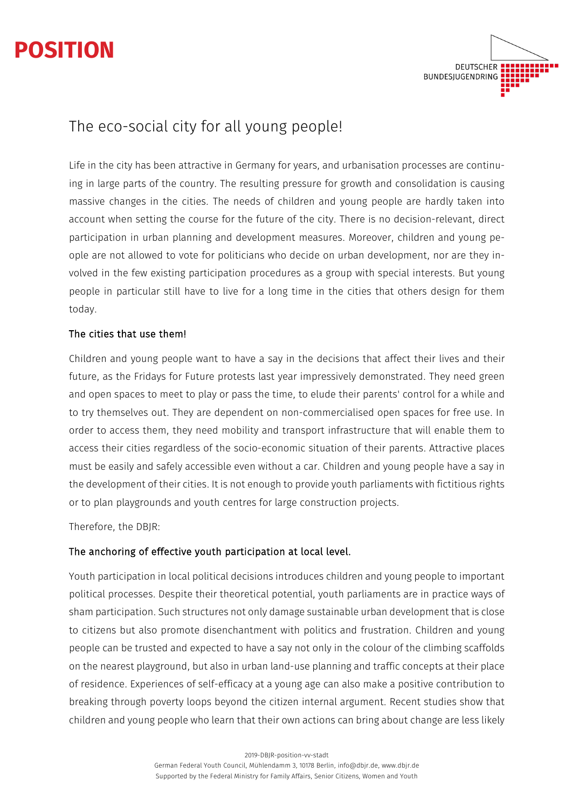# **POSITION**



## The eco-social city for all young people!

Life in the city has been attractive in Germany for years, and urbanisation processes are continuing in large parts of the country. The resulting pressure for growth and consolidation is causing massive changes in the cities. The needs of children and young people are hardly taken into account when setting the course for the future of the city. There is no decision-relevant, direct participation in urban planning and development measures. Moreover, children and young people are not allowed to vote for politicians who decide on urban development, nor are they involved in the few existing participation procedures as a group with special interests. But young people in particular still have to live for a long time in the cities that others design for them today.

#### The cities that use them!

Children and young people want to have a say in the decisions that affect their lives and their future, as the Fridays for Future protests last year impressively demonstrated. They need green and open spaces to meet to play or pass the time, to elude their parents' control for a while and to try themselves out. They are dependent on non-commercialised open spaces for free use. In order to access them, they need mobility and transport infrastructure that will enable them to access their cities regardless of the socio-economic situation of their parents. Attractive places must be easily and safely accessible even without a car. Children and young people have a say in the development of their cities. It is not enough to provide youth parliaments with fictitious rights or to plan playgrounds and youth centres for large construction projects.

Therefore, the DBJR:

#### The anchoring of effective youth participation at local level.

Youth participation in local political decisions introduces children and young people to important political processes. Despite their theoretical potential, youth parliaments are in practice ways of sham participation. Such structures not only damage sustainable urban development that is close to citizens but also promote disenchantment with politics and frustration. Children and young people can be trusted and expected to have a say not only in the colour of the climbing scaffolds on the nearest playground, but also in urban land-use planning and traffic concepts at their place of residence. Experiences of self-efficacy at a young age can also make a positive contribution to breaking through poverty loops beyond the citizen internal argument. Recent studies show that children and young people who learn that their own actions can bring about change are less likely

2019-DBJR-position-vv-stadt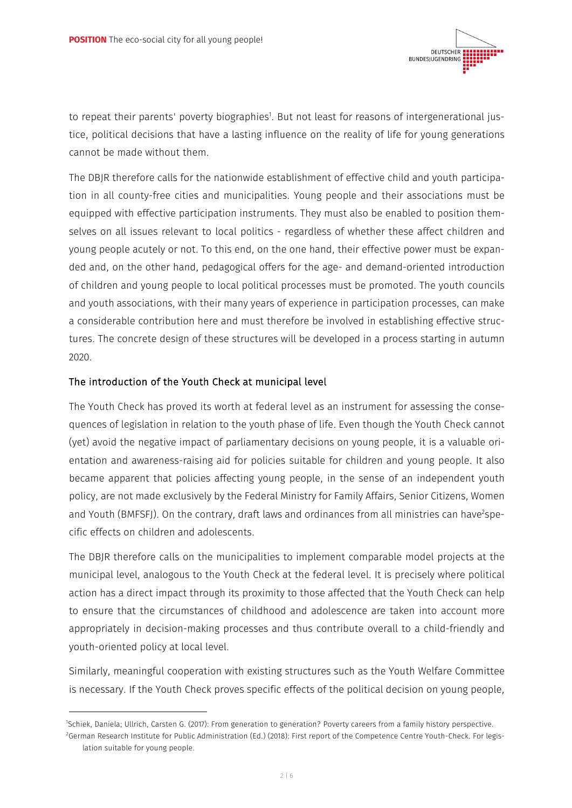

to repeat their parents' poverty biographies<sup>1</sup>. But not least for reasons of intergenerational justice, political decisions that have a lasting influence on the reality of life for young generations cannot be made without them.

The DBJR therefore calls for the nationwide establishment of effective child and youth participation in all county-free cities and municipalities. Young people and their associations must be equipped with effective participation instruments. They must also be enabled to position themselves on all issues relevant to local politics - regardless of whether these affect children and young people acutely or not. To this end, on the one hand, their effective power must be expanded and, on the other hand, pedagogical offers for the age- and demand-oriented introduction of children and young people to local political processes must be promoted. The youth councils and youth associations, with their many years of experience in participation processes, can make a considerable contribution here and must therefore be involved in establishing effective structures. The concrete design of these structures will be developed in a process starting in autumn 2020.

#### The introduction of the Youth Check at municipal level

The Youth Check has proved its worth at federal level as an instrument for assessing the consequences of legislation in relation to the youth phase of life. Even though the Youth Check cannot (yet) avoid the negative impact of parliamentary decisions on young people, it is a valuable orientation and awareness-raising aid for policies suitable for children and young people. It also became apparent that policies affecting young people, in the sense of an independent youth policy, are not made exclusively by the Federal Ministry for Family Affairs, Senior Citizens, Women and Youth (BMFSFJ). On the contrary, draft laws and ordinances from all ministries can have<sup>2</sup>specific effects on children and adolescents.

The DBJR therefore calls on the municipalities to implement comparable model projects at the municipal level, analogous to the Youth Check at the federal level. It is precisely where political action has a direct impact through its proximity to those affected that the Youth Check can help to ensure that the circumstances of childhood and adolescence are taken into account more appropriately in decision-making processes and thus contribute overall to a child-friendly and youth-oriented policy at local level.

Similarly, meaningful cooperation with existing structures such as the Youth Welfare Committee is necessary. If the Youth Check proves specific effects of the political decision on young people,

<sup>1</sup> Schiek, Daniela; Ullrich, Carsten G. (2017): From generation to generation? Poverty careers from a family history perspective. 2 German Research Institute for Public Administration (Ed.) (2018): First report of the Competence Centre Youth-Check. For legislation suitable for young people.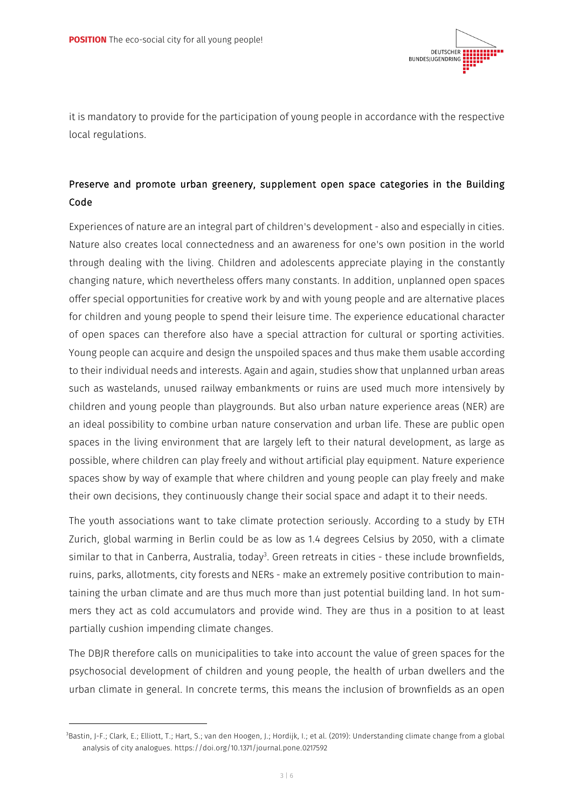

it is mandatory to provide for the participation of young people in accordance with the respective local regulations.

### Preserve and promote urban greenery, supplement open space categories in the Building Code

Experiences of nature are an integral part of children's development - also and especially in cities. Nature also creates local connectedness and an awareness for one's own position in the world through dealing with the living. Children and adolescents appreciate playing in the constantly changing nature, which nevertheless offers many constants. In addition, unplanned open spaces offer special opportunities for creative work by and with young people and are alternative places for children and young people to spend their leisure time. The experience educational character of open spaces can therefore also have a special attraction for cultural or sporting activities. Young people can acquire and design the unspoiled spaces and thus make them usable according to their individual needs and interests. Again and again, studies show that unplanned urban areas such as wastelands, unused railway embankments or ruins are used much more intensively by children and young people than playgrounds. But also urban nature experience areas (NER) are an ideal possibility to combine urban nature conservation and urban life. These are public open spaces in the living environment that are largely left to their natural development, as large as possible, where children can play freely and without artificial play equipment. Nature experience spaces show by way of example that where children and young people can play freely and make their own decisions, they continuously change their social space and adapt it to their needs.

The youth associations want to take climate protection seriously. According to a study by ETH Zurich, global warming in Berlin could be as low as 1.4 degrees Celsius by 2050, with a climate similar to that in Canberra, Australia, today<sup>3</sup>. Green retreats in cities - these include brownfields, ruins, parks, allotments, city forests and NERs - make an extremely positive contribution to maintaining the urban climate and are thus much more than just potential building land. In hot summers they act as cold accumulators and provide wind. They are thus in a position to at least partially cushion impending climate changes.

The DBJR therefore calls on municipalities to take into account the value of green spaces for the psychosocial development of children and young people, the health of urban dwellers and the urban climate in general. In concrete terms, this means the inclusion of brownfields as an open

<sup>3</sup> Bastin, J-F.; Clark, E.; Elliott, T.; Hart, S.; van den Hoogen, J.; Hordijk, I.; et al. (2019): Understanding climate change from a global analysis of city analogues. https://doi.org/10.1371/journal.pone.0217592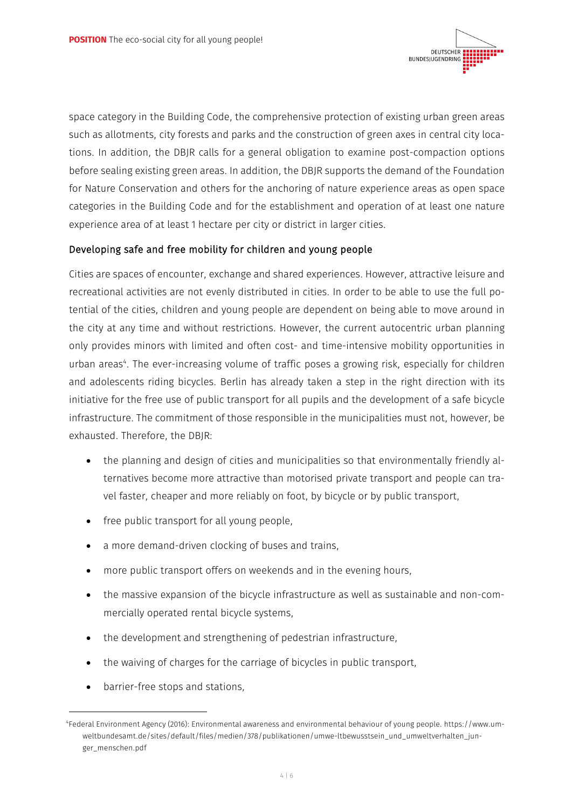

space category in the Building Code, the comprehensive protection of existing urban green areas such as allotments, city forests and parks and the construction of green axes in central city locations. In addition, the DBJR calls for a general obligation to examine post-compaction options before sealing existing green areas. In addition, the DBJR supports the demand of the Foundation for Nature Conservation and others for the anchoring of nature experience areas as open space categories in the Building Code and for the establishment and operation of at least one nature experience area of at least 1 hectare per city or district in larger cities.

#### Developing safe and free mobility for children and young people

Cities are spaces of encounter, exchange and shared experiences. However, attractive leisure and recreational activities are not evenly distributed in cities. In order to be able to use the full potential of the cities, children and young people are dependent on being able to move around in the city at any time and without restrictions. However, the current autocentric urban planning only provides minors with limited and often cost- and time-intensive mobility opportunities in urban areas<sup>4</sup>. The ever-increasing volume of traffic poses a growing risk, especially for children and adolescents riding bicycles. Berlin has already taken a step in the right direction with its initiative for the free use of public transport for all pupils and the development of a safe bicycle infrastructure. The commitment of those responsible in the municipalities must not, however, be exhausted. Therefore, the DBJR:

- the planning and design of cities and municipalities so that environmentally friendly alternatives become more attractive than motorised private transport and people can travel faster, cheaper and more reliably on foot, by bicycle or by public transport,
- free public transport for all young people,
- a more demand-driven clocking of buses and trains,
- more public transport offers on weekends and in the evening hours,
- the massive expansion of the bicycle infrastructure as well as sustainable and non-commercially operated rental bicycle systems,
- the development and strengthening of pedestrian infrastructure,
- the waiving of charges for the carriage of bicycles in public transport,
- barrier-free stops and stations,

<sup>4</sup> Federal Environment Agency (2016): Environmental awareness and environmental behaviour of young people. https://www.umweltbundesamt.de/sites/default/files/medien/378/publikationen/umwe-ltbewusstsein\_und\_umweltverhalten\_junger\_menschen.pdf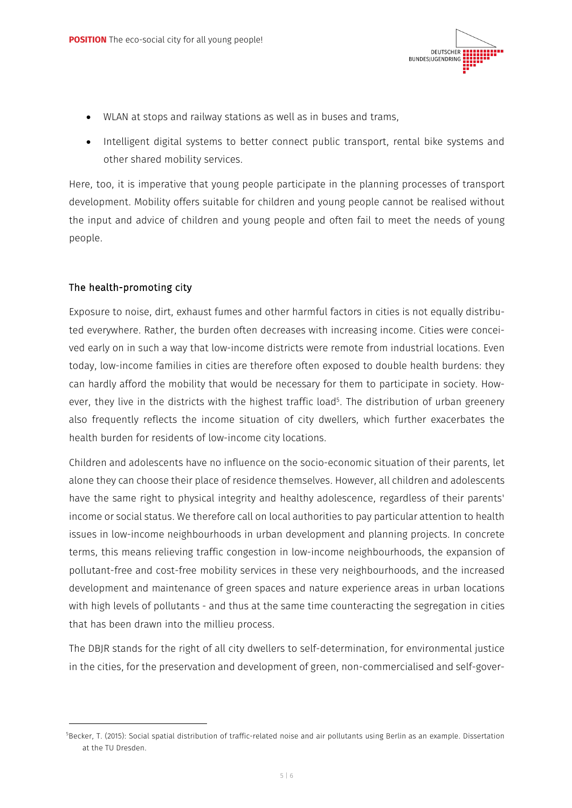

- WLAN at stops and railway stations as well as in buses and trams,
- Intelligent digital systems to better connect public transport, rental bike systems and other shared mobility services.

Here, too, it is imperative that young people participate in the planning processes of transport development. Mobility offers suitable for children and young people cannot be realised without the input and advice of children and young people and often fail to meet the needs of young people.

#### The health-promoting city

Exposure to noise, dirt, exhaust fumes and other harmful factors in cities is not equally distributed everywhere. Rather, the burden often decreases with increasing income. Cities were conceived early on in such a way that low-income districts were remote from industrial locations. Even today, low-income families in cities are therefore often exposed to double health burdens: they can hardly afford the mobility that would be necessary for them to participate in society. However, they live in the districts with the highest traffic load $^5$ . The distribution of urban greenery also frequently reflects the income situation of city dwellers, which further exacerbates the health burden for residents of low-income city locations.

Children and adolescents have no influence on the socio-economic situation of their parents, let alone they can choose their place of residence themselves. However, all children and adolescents have the same right to physical integrity and healthy adolescence, regardless of their parents' income or social status. We therefore call on local authorities to pay particular attention to health issues in low-income neighbourhoods in urban development and planning projects. In concrete terms, this means relieving traffic congestion in low-income neighbourhoods, the expansion of pollutant-free and cost-free mobility services in these very neighbourhoods, and the increased development and maintenance of green spaces and nature experience areas in urban locations with high levels of pollutants - and thus at the same time counteracting the segregation in cities that has been drawn into the millieu process.

The DBJR stands for the right of all city dwellers to self-determination, for environmental justice in the cities, for the preservation and development of green, non-commercialised and self-gover-

<sup>5</sup> Becker, T. (2015): Social spatial distribution of traffic-related noise and air pollutants using Berlin as an example. Dissertation at the TU Dresden.